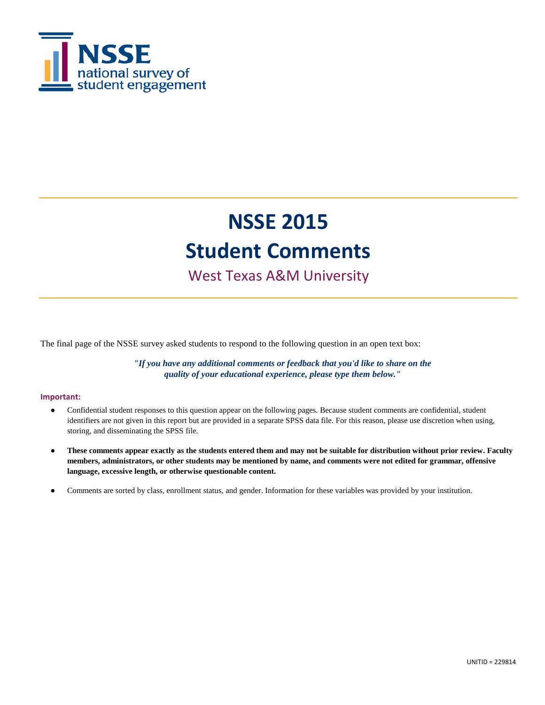

### West Texas A&M University

The final page of the NSSE survey asked students to respond to the following question in an open text box:

*"If you have any additional comments or feedback that you'd like to share on the quality of your educational experience, please type them below."*

#### **Important:**

- Confidential student responses to this question appear on the following pages. Because student comments are confidential, student identifiers are not given in this report but are provided in a separate SPSS data file. For this reason, please use discretion when using, storing, and disseminating the SPSS file.
- **These comments appear exactly as the students entered them and may not be suitable for distribution without prior review. Faculty members, administrators, or other students may be mentioned by name, and comments were not edited for grammar, offensive language, excessive length, or otherwise questionable content.**
- Comments are sorted by class, enrollment status, and gender. Information for these variables was provided by your institution.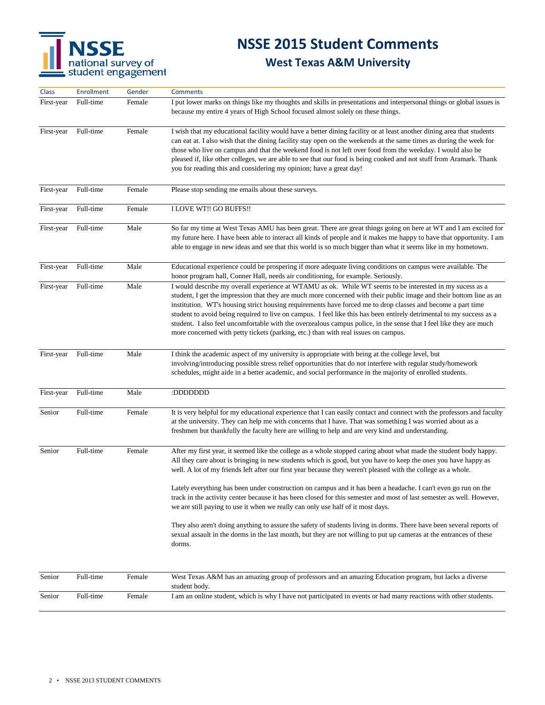

| Class      | <b>Enrollment</b> | Gender | <b>Comments</b>                                                                                                                                                                                                                                                                                                                                                                                                                                                                                                                                                                                                                                                                                                                                                                                                                                                                                                                             |
|------------|-------------------|--------|---------------------------------------------------------------------------------------------------------------------------------------------------------------------------------------------------------------------------------------------------------------------------------------------------------------------------------------------------------------------------------------------------------------------------------------------------------------------------------------------------------------------------------------------------------------------------------------------------------------------------------------------------------------------------------------------------------------------------------------------------------------------------------------------------------------------------------------------------------------------------------------------------------------------------------------------|
| First-year | Full-time         | Female | I put lower marks on things like my thoughts and skills in presentations and interpersonal things or global issues is<br>because my entire 4 years of High School focused almost solely on these things.                                                                                                                                                                                                                                                                                                                                                                                                                                                                                                                                                                                                                                                                                                                                    |
| First-year | Full-time         | Female | I wish that my educational facility would have a better dining facility or at least another dining area that students<br>can eat at. I also wish that the dining facility stay open on the weekends at the same times as during the week for<br>those who live on campus and that the weekend food is not left over food from the weekday. I would also be<br>pleased if, like other colleges, we are able to see that our food is being cooked and not stuff from Aramark. Thank<br>you for reading this and considering my opinion; have a great day!                                                                                                                                                                                                                                                                                                                                                                                     |
| First-year | Full-time         | Female | Please stop sending me emails about these surveys.                                                                                                                                                                                                                                                                                                                                                                                                                                                                                                                                                                                                                                                                                                                                                                                                                                                                                          |
| First-year | Full-time         | Female | I LOVE WT!! GO BUFFS!!                                                                                                                                                                                                                                                                                                                                                                                                                                                                                                                                                                                                                                                                                                                                                                                                                                                                                                                      |
| First-year | Full-time         | Male   | So far my time at West Texas AMU has been great. There are great things going on here at WT and I am excited for<br>my future here. I have been able to interact all kinds of people and it makes me happy to have that opportunity. I am<br>able to engage in new ideas and see that this world is so much bigger than what it seems like in my hometown.                                                                                                                                                                                                                                                                                                                                                                                                                                                                                                                                                                                  |
| First-year | Full-time         | Male   | Educational experience could be prospering if more adequate living conditions on campus were available. The<br>honor program hall, Conner Hall, needs air conditioning, for example. Seriously.                                                                                                                                                                                                                                                                                                                                                                                                                                                                                                                                                                                                                                                                                                                                             |
| First-year | Full-time         | Male   | I would describe my overall experience at WTAMU as ok. While WT seems to be interested in my sucess as a<br>student, I get the impression that they are much more concerned with their public image and their bottom line as an<br>institution. WT's housing strict housing requirements have forced me to drop classes and become a part time<br>student to avoid being required to live on campus. I feel like this has been entirely detrimental to my success as a<br>student. I also feel uncomfortable with the overzealous campus police, in the sense that I feel like they are much<br>more concerned with petty tickets (parking, etc.) than with real issues on campus.                                                                                                                                                                                                                                                          |
| First-year | Full-time         | Male   | I think the academic aspect of my university is appropriate with being at the college level, but<br>involving/introducing possible stress relief opportunities that do not interfere with regular study/homework<br>schedules, might aide in a better academic, and social performance in the majority of enrolled students.                                                                                                                                                                                                                                                                                                                                                                                                                                                                                                                                                                                                                |
| First-year | Full-time         | Male   | :DDDDDDDD                                                                                                                                                                                                                                                                                                                                                                                                                                                                                                                                                                                                                                                                                                                                                                                                                                                                                                                                   |
| Senior     | Full-time         | Female | It is very helpful for my educational experience that I can easily contact and connect with the professors and faculty<br>at the university. They can help me with concerns that I have. That was something I was worried about as a<br>freshmen but thankfully the faculty here are willing to help and are very kind and understanding.                                                                                                                                                                                                                                                                                                                                                                                                                                                                                                                                                                                                   |
| Senior     | Full-time         | Female | After my first year, it seemed like the college as a whole stopped caring about what made the student body happy.<br>All they care about is bringing in new students which is good, but you have to keep the ones you have happy as<br>well. A lot of my friends left after our first year because they weren't pleased with the college as a whole.<br>Lately everything has been under construction on campus and it has been a headache. I can't even go run on the<br>track in the activity center because it has been closed for this semester and most of last semester as well. However,<br>we are still paying to use it when we really can only use half of it most days.<br>They also aren't doing anything to assure the safety of students living in dorms. There have been several reports of<br>sexual assault in the dorms in the last month, but they are not willing to put up cameras at the entrances of these<br>dorms. |
| Senior     | Full-time         | Female | West Texas A&M has an amazing group of professors and an amazing Education program, but lacks a diverse                                                                                                                                                                                                                                                                                                                                                                                                                                                                                                                                                                                                                                                                                                                                                                                                                                     |
|            |                   |        | student body.                                                                                                                                                                                                                                                                                                                                                                                                                                                                                                                                                                                                                                                                                                                                                                                                                                                                                                                               |
| Senior     | Full-time         | Female | I am an online student, which is why I have not participated in events or had many reactions with other students.                                                                                                                                                                                                                                                                                                                                                                                                                                                                                                                                                                                                                                                                                                                                                                                                                           |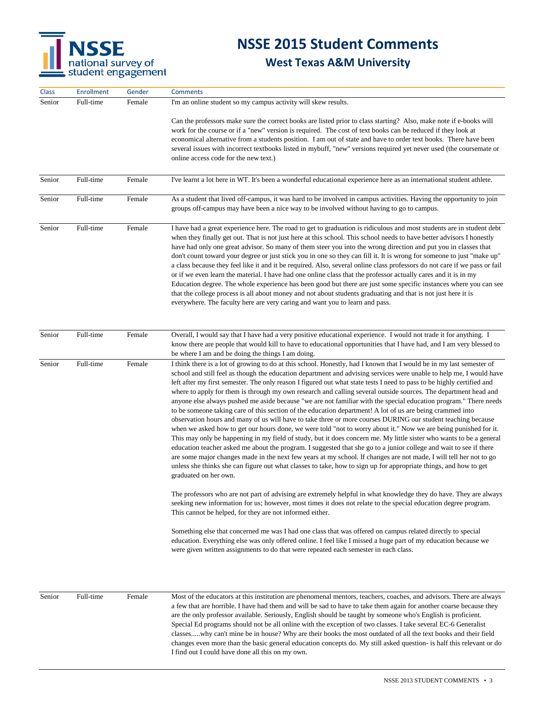

| Class  | <b>Enrollment</b> | Gender | <b>Comments</b>                                                                                                                                                                                                                                                                                                                                                                                                                                                                                                                                                                                                                                                                                                                                                                                                                                                                                                                                                                                                                                                                                                                                                                                                                                                                                                                                                                                                                                                                                                                                                                                                                                                                                                                                                                                                                                                                                                                                                                                                                                                                                             |
|--------|-------------------|--------|-------------------------------------------------------------------------------------------------------------------------------------------------------------------------------------------------------------------------------------------------------------------------------------------------------------------------------------------------------------------------------------------------------------------------------------------------------------------------------------------------------------------------------------------------------------------------------------------------------------------------------------------------------------------------------------------------------------------------------------------------------------------------------------------------------------------------------------------------------------------------------------------------------------------------------------------------------------------------------------------------------------------------------------------------------------------------------------------------------------------------------------------------------------------------------------------------------------------------------------------------------------------------------------------------------------------------------------------------------------------------------------------------------------------------------------------------------------------------------------------------------------------------------------------------------------------------------------------------------------------------------------------------------------------------------------------------------------------------------------------------------------------------------------------------------------------------------------------------------------------------------------------------------------------------------------------------------------------------------------------------------------------------------------------------------------------------------------------------------------|
| Senior | Full-time         | Female | I'm an online student so my campus activity will skew results.                                                                                                                                                                                                                                                                                                                                                                                                                                                                                                                                                                                                                                                                                                                                                                                                                                                                                                                                                                                                                                                                                                                                                                                                                                                                                                                                                                                                                                                                                                                                                                                                                                                                                                                                                                                                                                                                                                                                                                                                                                              |
|        |                   |        | Can the professors make sure the correct books are listed prior to class starting? Also, make note if e-books will<br>work for the course or if a "new" version is required. The cost of text books can be reduced if they look at<br>economical alternative from a students position. I am out of state and have to order text books. There have been<br>several issues with incorrect textbooks listed in mybuff, "new" versions required yet never used (the coursemate or<br>online access code for the new text.)                                                                                                                                                                                                                                                                                                                                                                                                                                                                                                                                                                                                                                                                                                                                                                                                                                                                                                                                                                                                                                                                                                                                                                                                                                                                                                                                                                                                                                                                                                                                                                                      |
| Senior | Full-time         | Female | I've learnt a lot here in WT. It's been a wonderful educational experience here as an international student athlete.                                                                                                                                                                                                                                                                                                                                                                                                                                                                                                                                                                                                                                                                                                                                                                                                                                                                                                                                                                                                                                                                                                                                                                                                                                                                                                                                                                                                                                                                                                                                                                                                                                                                                                                                                                                                                                                                                                                                                                                        |
| Senior | Full-time         | Female | As a student that lived off-campus, it was hard to be involved in campus activities. Having the opportunity to join<br>groups off-campus may have been a nice way to be involved without having to go to campus.                                                                                                                                                                                                                                                                                                                                                                                                                                                                                                                                                                                                                                                                                                                                                                                                                                                                                                                                                                                                                                                                                                                                                                                                                                                                                                                                                                                                                                                                                                                                                                                                                                                                                                                                                                                                                                                                                            |
| Senior | Full-time         | Female | I have had a great experience here. The road to get to graduation is ridiculous and most students are in student debt<br>when they finally get out. That is not just here at this school. This school needs to have better advisors I honestly<br>have had only one great advisor. So many of them steer you into the wrong direction and put you in classes that<br>don't count toward your degree or just stick you in one so they can fill it. It is wrong for someone to just "make up"<br>a class because they feel like it and it be required. Also, several online class professors do not care if we pass or fail<br>or if we even learn the material. I have had one online class that the professor actually cares and it is in my<br>Education degree. The whole experience has been good but there are just some specific instances where you can see<br>that the college process is all about money and not about students graduating and that is not just here it is<br>everywhere. The faculty here are very caring and want you to learn and pass.                                                                                                                                                                                                                                                                                                                                                                                                                                                                                                                                                                                                                                                                                                                                                                                                                                                                                                                                                                                                                                          |
|        |                   |        |                                                                                                                                                                                                                                                                                                                                                                                                                                                                                                                                                                                                                                                                                                                                                                                                                                                                                                                                                                                                                                                                                                                                                                                                                                                                                                                                                                                                                                                                                                                                                                                                                                                                                                                                                                                                                                                                                                                                                                                                                                                                                                             |
| Senior | Full-time         | Female | Overall, I would say that I have had a very positive educational experience. I would not trade it for anything. I<br>know there are people that would kill to have to educational opportunities that I have had, and I am very blessed to<br>be where I am and be doing the things I am doing.                                                                                                                                                                                                                                                                                                                                                                                                                                                                                                                                                                                                                                                                                                                                                                                                                                                                                                                                                                                                                                                                                                                                                                                                                                                                                                                                                                                                                                                                                                                                                                                                                                                                                                                                                                                                              |
| Senior | Full-time         | Female | I think there is a lot of growing to do at this school. Honestly, had I known that I would be in my last semester of<br>school and still feel as though the education department and advising services were unable to help me, I would have<br>left after my first semester. The only reason I figured out what state tests I need to pass to be highly certified and<br>where to apply for them is through my own research and calling several outside sources. The department head and<br>anyone else always pushed me aside because "we are not familiar with the special education program." There needs<br>to be someone taking care of this section of the education department! A lot of us are being crammed into<br>observation hours and many of us will have to take three or more courses DURING our student teaching because<br>when we asked how to get our hours done, we were told "not to worry about it." Now we are being punished for it.<br>This may only be happening in my field of study, but it does concern me. My little sister who wants to be a general<br>education teacher asked me about the program. I suggested that she go to a junior college and wait to see if there<br>are some major changes made in the next few years at my school. If changes are not made, I will tell her not to go<br>unless she thinks she can figure out what classes to take, how to sign up for appropriate things, and how to get<br>graduated on her own.<br>The professors who are not part of advising are extremely helpful in what knowledge they do have. They are always<br>seeking new information for us; however, most times it does not relate to the special education degree program.<br>This cannot be helped, for they are not informed either.<br>Something else that concerned me was I had one class that was offered on campus related directly to special<br>education. Everything else was only offered online. I feel like I missed a huge part of my education because we<br>were given written assignments to do that were repeated each semester in each class. |
| Senior | Full-time         | Female | Most of the educators at this institution are phenomenal mentors, teachers, coaches, and advisors. There are always<br>a few that are horrible. I have had them and will be sad to have to take them again for another coarse because they<br>are the only professor available. Seriously, English should be taught by someone who's English is proficient.<br>Special Ed programs should not be all online with the exception of two classes. I take several EC-6 Generalist<br>classeswhy can't mine be in house? Why are their books the most outdated of all the text books and their field<br>changes even more than the basic general education concepts do. My still asked question- is half this relevant or do<br>I find out I could have done all this on my own.                                                                                                                                                                                                                                                                                                                                                                                                                                                                                                                                                                                                                                                                                                                                                                                                                                                                                                                                                                                                                                                                                                                                                                                                                                                                                                                                 |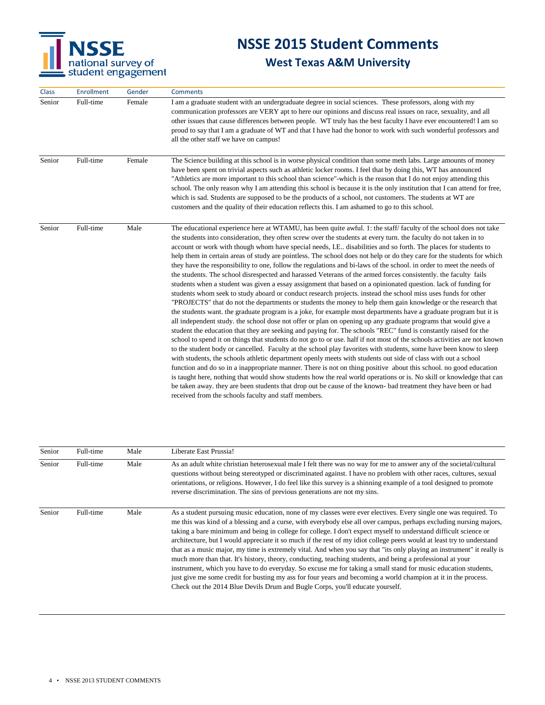

| Class  | <b>Enrollment</b> | Gender | <b>Comments</b>                                                                                                                                                                                                                                                                                                                                                                                                                                                                                                                                                                                                                                                                                                                                                                                                                                                                                                                                                                                                                                                                                                                                                                                                                                                                                                                                                                                                                                                                                                                                                                                                                                                                                                                                                                                                                                                                                                                                                                                                                                                                                                                                                                                                                      |
|--------|-------------------|--------|--------------------------------------------------------------------------------------------------------------------------------------------------------------------------------------------------------------------------------------------------------------------------------------------------------------------------------------------------------------------------------------------------------------------------------------------------------------------------------------------------------------------------------------------------------------------------------------------------------------------------------------------------------------------------------------------------------------------------------------------------------------------------------------------------------------------------------------------------------------------------------------------------------------------------------------------------------------------------------------------------------------------------------------------------------------------------------------------------------------------------------------------------------------------------------------------------------------------------------------------------------------------------------------------------------------------------------------------------------------------------------------------------------------------------------------------------------------------------------------------------------------------------------------------------------------------------------------------------------------------------------------------------------------------------------------------------------------------------------------------------------------------------------------------------------------------------------------------------------------------------------------------------------------------------------------------------------------------------------------------------------------------------------------------------------------------------------------------------------------------------------------------------------------------------------------------------------------------------------------|
| Senior | Full-time         | Female | I am a graduate student with an undergraduate degree in social sciences. These professors, along with my<br>communication professors are VERY apt to here our opinions and discuss real issues on race, sexuality, and all<br>other issues that cause differences between people. WT truly has the best faculty I have ever encountered! I am so<br>proud to say that I am a graduate of WT and that I have had the honor to work with such wonderful professors and<br>all the other staff we have on campus!                                                                                                                                                                                                                                                                                                                                                                                                                                                                                                                                                                                                                                                                                                                                                                                                                                                                                                                                                                                                                                                                                                                                                                                                                                                                                                                                                                                                                                                                                                                                                                                                                                                                                                                       |
| Senior | Full-time         | Female | The Science building at this school is in worse physical condition than some meth labs. Large amounts of money<br>have been spent on trivial aspects such as athletic locker rooms. I feel that by doing this, WT has announced<br>"Athletics are more important to this school than science"-which is the reason that I do not enjoy attending this<br>school. The only reason why I am attending this school is because it is the only institution that I can attend for free,<br>which is sad. Students are supposed to be the products of a school, not customers. The students at WT are<br>customers and the quality of their education reflects this. I am ashamed to go to this school.                                                                                                                                                                                                                                                                                                                                                                                                                                                                                                                                                                                                                                                                                                                                                                                                                                                                                                                                                                                                                                                                                                                                                                                                                                                                                                                                                                                                                                                                                                                                      |
| Senior | Full-time         | Male   | The educational experience here at WTAMU, has been quite awful. 1: the staff faculty of the school does not take<br>the students into consideration, they often screw over the students at every turn, the faculty do not taken in to<br>account or work with though whom have special needs, I.E disabilities and so forth. The places for students to<br>help them in certain areas of study are pointless. The school does not help or do they care for the students for which<br>they have the responsibility to one, follow the regulations and bi-laws of the school, in order to meet the needs of<br>the students. The school disrespected and harassed Veterans of the armed forces consistently. the faculty fails<br>students when a student was given a essay assignment that based on a opinionated question. lack of funding for<br>students whom seek to study aboard or conduct research projects, instead the school miss uses funds for other<br>"PROJECTS" that do not the departments or students the money to help them gain knowledge or the research that<br>the students want. the graduate program is a joke, for example most departments have a graduate program but it is<br>all independent study, the school dose not offer or plan on opening up any graduate programs that would give a<br>student the education that they are seeking and paying for. The schools "REC" fund is constantly raised for the<br>school to spend it on things that students do not go to or use. half if not most of the schools activities are not known<br>to the student body or cancelled. Faculty at the school play favorites with students, some have been know to sleep<br>with students, the schools athletic department openly meets with students out side of class with out a school<br>function and do so in a inappropriate manner. There is not on thing positive about this school, no good education<br>is taught here, nothing that would show students how the real world operations or is. No skill or knowledge that can<br>be taken away, they are been students that drop out be cause of the known- bad treatment they have been or had<br>received from the schools faculty and staff members. |

| Senior | Full-time | Male | Liberate East Prussia!                                                                                                                                                                                                                                                                                                                                                                                                                                                                                                                                                                                                                                                                                                                                                                                                                                                                                                                                                                                                                            |
|--------|-----------|------|---------------------------------------------------------------------------------------------------------------------------------------------------------------------------------------------------------------------------------------------------------------------------------------------------------------------------------------------------------------------------------------------------------------------------------------------------------------------------------------------------------------------------------------------------------------------------------------------------------------------------------------------------------------------------------------------------------------------------------------------------------------------------------------------------------------------------------------------------------------------------------------------------------------------------------------------------------------------------------------------------------------------------------------------------|
| Senior | Full-time | Male | As an adult white christian heterosexual male I felt there was no way for me to answer any of the societal/cultural<br>questions without being stereotyped or discriminated against. I have no problem with other races, cultures, sexual<br>orientations, or religions. However, I do feel like this survey is a shinning example of a tool designed to promote<br>reverse discrimination. The sins of previous generations are not my sins.                                                                                                                                                                                                                                                                                                                                                                                                                                                                                                                                                                                                     |
| Senior | Full-time | Male | As a student pursuing music education, none of my classes were ever electives. Every single one was required. To<br>me this was kind of a blessing and a curse, with everybody else all over campus, perhaps excluding nursing majors,<br>taking a bare minimum and being in college for college. I don't expect myself to understand difficult science or<br>architecture, but I would appreciate it so much if the rest of my idiot college peers would at least try to understand<br>that as a music major, my time is extremely vital. And when you say that "its only playing an instrument" it really is<br>much more than that. It's history, theory, conducting, teaching students, and being a professional at your<br>instrument, which you have to do everyday. So excuse me for taking a small stand for music education students,<br>just give me some credit for busting my ass for four years and becoming a world champion at it in the process.<br>Check out the 2014 Blue Devils Drum and Bugle Corps, you'll educate yourself. |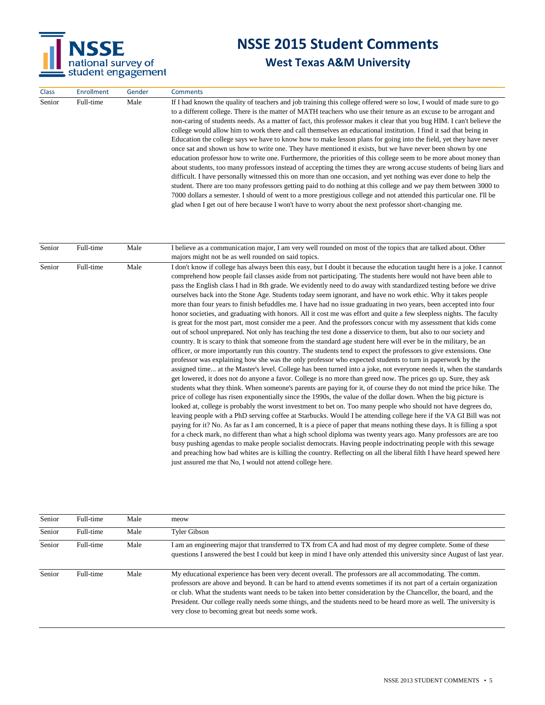

| <b>Class</b> | <b>Enrollment</b> | Gender | <b>Comments</b>                                                                                                                                                                                                                                                                                                                                                                                                                                                                                                                                                                                                                                                                                                                                                                                                                                                                                                                                                                                                                                                                                                                                                                                                                                                                                                                                                                                                                                      |
|--------------|-------------------|--------|------------------------------------------------------------------------------------------------------------------------------------------------------------------------------------------------------------------------------------------------------------------------------------------------------------------------------------------------------------------------------------------------------------------------------------------------------------------------------------------------------------------------------------------------------------------------------------------------------------------------------------------------------------------------------------------------------------------------------------------------------------------------------------------------------------------------------------------------------------------------------------------------------------------------------------------------------------------------------------------------------------------------------------------------------------------------------------------------------------------------------------------------------------------------------------------------------------------------------------------------------------------------------------------------------------------------------------------------------------------------------------------------------------------------------------------------------|
| Senior       | Full-time         | Male   | If I had known the quality of teachers and job training this college offered were so low, I would of made sure to go<br>to a different college. There is the matter of MATH teachers who use their tenure as an excuse to be arrogant and<br>non-caring of students needs. As a matter of fact, this professor makes it clear that you bug HIM. I can't believe the<br>college would allow him to work there and call themselves an educational institution. I find it sad that being in<br>Education the college says we have to know how to make lesson plans for going into the field, yet they have never<br>once sat and shown us how to write one. They have mentioned it exists, but we have never been shown by one<br>education professor how to write one. Furthermore, the priorities of this college seem to be more about money than<br>about students, too many professors instead of accepting the times they are wrong accuse students of being liars and<br>difficult. I have personally witnessed this on more than one occasion, and yet nothing was ever done to help the<br>student. There are too many professors getting paid to do nothing at this college and we pay them between 3000 to<br>7000 dollars a semester. I should of went to a more prestigious college and not attended this particular one. I'll be<br>glad when I get out of here because I won't have to worry about the next professor short-changing me. |

| Senior | Full-time | Male | I believe as a communication major, I am very well rounded on most of the topics that are talked about. Other<br>majors might not be as well rounded on said topics.                                                                                                                                                                                                                                                                                                                                                                                                                                                                                                                                                                                                                                                                                                                                                                                                                                                                                                                                                                                                                                                                                                                                                                                                                                                                                                                                                                                                                                                                                                                                                                                                                                                                                                                                                                                                                                                                                                                                                                                                                                                                                                                                                                                                                                                                                                                                                                                                                                       |
|--------|-----------|------|------------------------------------------------------------------------------------------------------------------------------------------------------------------------------------------------------------------------------------------------------------------------------------------------------------------------------------------------------------------------------------------------------------------------------------------------------------------------------------------------------------------------------------------------------------------------------------------------------------------------------------------------------------------------------------------------------------------------------------------------------------------------------------------------------------------------------------------------------------------------------------------------------------------------------------------------------------------------------------------------------------------------------------------------------------------------------------------------------------------------------------------------------------------------------------------------------------------------------------------------------------------------------------------------------------------------------------------------------------------------------------------------------------------------------------------------------------------------------------------------------------------------------------------------------------------------------------------------------------------------------------------------------------------------------------------------------------------------------------------------------------------------------------------------------------------------------------------------------------------------------------------------------------------------------------------------------------------------------------------------------------------------------------------------------------------------------------------------------------------------------------------------------------------------------------------------------------------------------------------------------------------------------------------------------------------------------------------------------------------------------------------------------------------------------------------------------------------------------------------------------------------------------------------------------------------------------------------------------------|
| Senior | Full-time | Male | I don't know if college has always been this easy, but I doubt it because the education taught here is a joke. I cannot<br>comprehend how people fail classes aside from not participating. The students here would not have been able to<br>pass the English class I had in 8th grade. We evidently need to do away with standardized testing before we drive<br>ourselves back into the Stone Age. Students today seem ignorant, and have no work ethic. Why it takes people<br>more than four years to finish befuddles me. I have had no issue graduating in two years, been accepted into four<br>honor societies, and graduating with honors. All it cost me was effort and quite a few sleepless nights. The faculty<br>is great for the most part, most consider me a peer. And the professors concur with my assessment that kids come<br>out of school unprepared. Not only has teaching the test done a disservice to them, but also to our society and<br>country. It is scary to think that someone from the standard age student here will ever be in the military, be an<br>officer, or more importantly run this country. The students tend to expect the professors to give extensions. One<br>professor was explaining how she was the only professor who expected students to turn in paperwork by the<br>assigned time at the Master's level. College has been turned into a joke, not everyone needs it, when the standards<br>get lowered, it does not do anyone a favor. College is no more than greed now. The prices go up. Sure, they ask<br>students what they think. When someone's parents are paying for it, of course they do not mind the price hike. The<br>price of college has risen exponentially since the 1990s, the value of the dollar down. When the big picture is<br>looked at, college is probably the worst investment to bet on. Too many people who should not have degrees do,<br>leaving people with a PhD serving coffee at Starbucks. Would I be attending college here if the VA GI Bill was not<br>paying for it? No. As far as I am concerned, It is a piece of paper that means nothing these days. It is filling a spot<br>for a check mark, no different than what a high school diploma was twenty years ago. Many professors are are too<br>busy pushing agendas to make people socialist democrats. Having people indoctrinating people with this sewage<br>and preaching how bad whites are is killing the country. Reflecting on all the liberal filth I have heard spewed here<br>just assured me that No, I would not attend college here. |
|        |           |      |                                                                                                                                                                                                                                                                                                                                                                                                                                                                                                                                                                                                                                                                                                                                                                                                                                                                                                                                                                                                                                                                                                                                                                                                                                                                                                                                                                                                                                                                                                                                                                                                                                                                                                                                                                                                                                                                                                                                                                                                                                                                                                                                                                                                                                                                                                                                                                                                                                                                                                                                                                                                            |

| Senior | Full-time | Male | meow                                                                                                                                                                                                                                                                                                                                                                                                                                                                                                                            |
|--------|-----------|------|---------------------------------------------------------------------------------------------------------------------------------------------------------------------------------------------------------------------------------------------------------------------------------------------------------------------------------------------------------------------------------------------------------------------------------------------------------------------------------------------------------------------------------|
| Senior | Full-time | Male | Tyler Gibson                                                                                                                                                                                                                                                                                                                                                                                                                                                                                                                    |
| Senior | Full-time | Male | I am an engineering major that transferred to TX from CA and had most of my degree complete. Some of these<br>questions I answered the best I could but keep in mind I have only attended this university since August of last year.                                                                                                                                                                                                                                                                                            |
| Senior | Full-time | Male | My educational experience has been very decent overall. The professors are all accommodating. The comm.<br>professors are above and beyond. It can be hard to attend events sometimes if its not part of a certain organization<br>or club. What the students want needs to be taken into better consideration by the Chancellor, the board, and the<br>President. Our college really needs some things, and the students need to be heard more as well. The university is<br>very close to becoming great but needs some work. |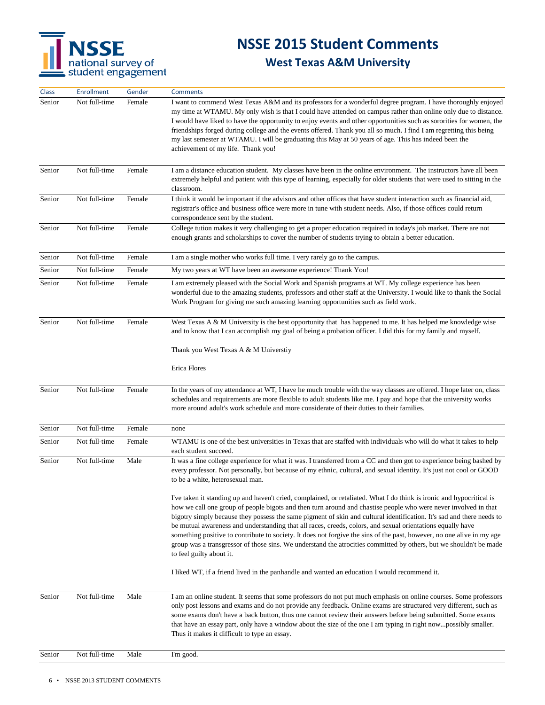

| <b>Class</b> | <b>Enrollment</b> | Gender | <b>Comments</b>                                                                                                                                                                                                                                                                                                                                                                                                                                                                                                                                                                                                                                                                                                                                             |
|--------------|-------------------|--------|-------------------------------------------------------------------------------------------------------------------------------------------------------------------------------------------------------------------------------------------------------------------------------------------------------------------------------------------------------------------------------------------------------------------------------------------------------------------------------------------------------------------------------------------------------------------------------------------------------------------------------------------------------------------------------------------------------------------------------------------------------------|
| Senior       | Not full-time     | Female | I want to commend West Texas A&M and its professors for a wonderful degree program. I have thoroughly enjoyed<br>my time at WTAMU. My only wish is that I could have attended on campus rather than online only due to distance.<br>I would have liked to have the opportunity to enjoy events and other opportunities such as sororities for women, the<br>friendships forged during college and the events offered. Thank you all so much. I find I am regretting this being<br>my last semester at WTAMU. I will be graduating this May at 50 years of age. This has indeed been the<br>achievement of my life. Thank you!                                                                                                                               |
| Senior       | Not full-time     | Female | I am a distance education student. My classes have been in the online environment. The instructors have all been<br>extremely helpful and patient with this type of learning, especially for older students that were used to sitting in the<br>classroom.                                                                                                                                                                                                                                                                                                                                                                                                                                                                                                  |
| Senior       | Not full-time     | Female | I think it would be important if the advisors and other offices that have student interaction such as financial aid,<br>registrar's office and business office were more in tune with student needs. Also, if those offices could return<br>correspondence sent by the student.                                                                                                                                                                                                                                                                                                                                                                                                                                                                             |
| Senior       | Not full-time     | Female | College tution makes it very challenging to get a proper education required in today's job market. There are not<br>enough grants and scholarships to cover the number of students trying to obtain a better education.                                                                                                                                                                                                                                                                                                                                                                                                                                                                                                                                     |
| Senior       | Not full-time     | Female | I am a single mother who works full time. I very rarely go to the campus.                                                                                                                                                                                                                                                                                                                                                                                                                                                                                                                                                                                                                                                                                   |
| Senior       | Not full-time     | Female | My two years at WT have been an awesome experience! Thank You!                                                                                                                                                                                                                                                                                                                                                                                                                                                                                                                                                                                                                                                                                              |
| Senior       | Not full-time     | Female | I am extremely pleased with the Social Work and Spanish programs at WT. My college experience has been<br>wonderful due to the amazing students, professors and other staff at the University. I would like to thank the Social<br>Work Program for giving me such amazing learning opportunities such as field work.                                                                                                                                                                                                                                                                                                                                                                                                                                       |
| Senior       | Not full-time     | Female | West Texas A & M University is the best opportunity that has happened to me. It has helped me knowledge wise<br>and to know that I can accomplish my goal of being a probation officer. I did this for my family and myself.                                                                                                                                                                                                                                                                                                                                                                                                                                                                                                                                |
|              |                   |        | Thank you West Texas A & M Universtiy                                                                                                                                                                                                                                                                                                                                                                                                                                                                                                                                                                                                                                                                                                                       |
|              |                   |        | Erica Flores                                                                                                                                                                                                                                                                                                                                                                                                                                                                                                                                                                                                                                                                                                                                                |
| Senior       | Not full-time     | Female | In the years of my attendance at WT, I have he much trouble with the way classes are offered. I hope later on, class<br>schedules and requirements are more flexible to adult students like me. I pay and hope that the university works<br>more around adult's work schedule and more considerate of their duties to their families.                                                                                                                                                                                                                                                                                                                                                                                                                       |
| Senior       | Not full-time     | Female | none                                                                                                                                                                                                                                                                                                                                                                                                                                                                                                                                                                                                                                                                                                                                                        |
| Senior       | Not full-time     | Female | WTAMU is one of the best universities in Texas that are staffed with individuals who will do what it takes to help<br>each student succeed.                                                                                                                                                                                                                                                                                                                                                                                                                                                                                                                                                                                                                 |
| Senior       | Not full-time     | Male   | It was a fine college experience for what it was. I transferred from a CC and then got to experience being bashed by<br>every professor. Not personally, but because of my ethnic, cultural, and sexual identity. It's just not cool or GOOD<br>to be a white, heterosexual man.                                                                                                                                                                                                                                                                                                                                                                                                                                                                            |
|              |                   |        | I've taken it standing up and haven't cried, complained, or retaliated. What I do think is ironic and hypocritical is<br>how we call one group of people bigots and then turn around and chastise people who were never involved in that<br>bigotry simply because they possess the same pigment of skin and cultural identification. It's sad and there needs to<br>be mutual awareness and understanding that all races, creeds, colors, and sexual orientations equally have<br>something positive to contribute to society. It does not forgive the sins of the past, however, no one alive in my age<br>group was a transgressor of those sins. We understand the atrocities committed by others, but we shouldn't be made<br>to feel guilty about it. |
|              |                   |        | I liked WT, if a friend lived in the panhandle and wanted an education I would recommend it.                                                                                                                                                                                                                                                                                                                                                                                                                                                                                                                                                                                                                                                                |
| Senior       | Not full-time     | Male   | I am an online student. It seems that some professors do not put much emphasis on online courses. Some professors<br>only post lessons and exams and do not provide any feedback. Online exams are structured very different, such as<br>some exams don't have a back button, thus one cannot review their answers before being submitted. Some exams<br>that have an essay part, only have a window about the size of the one I am typing in right nowpossibly smaller.<br>Thus it makes it difficult to type an essay.                                                                                                                                                                                                                                    |
| Senior       | Not full-time     | Male   | I'm good.                                                                                                                                                                                                                                                                                                                                                                                                                                                                                                                                                                                                                                                                                                                                                   |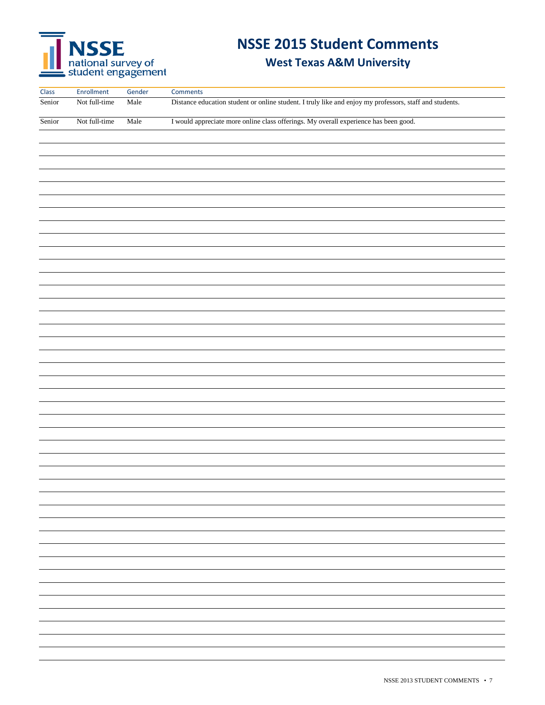# NSSE<br>
national survey of<br>
student engagement

# **NSSE 2015 Student Comments**

| Class  | Enrollment    | Gender | Comments                                                                                                |
|--------|---------------|--------|---------------------------------------------------------------------------------------------------------|
| Senior | Not full-time | Male   | Distance education student or online student. I truly like and enjoy my professors, staff and students. |
|        |               |        |                                                                                                         |
| Senior | Not full-time | Male   | I would appreciate more online class offerings. My overall experience has been good.                    |
|        |               |        |                                                                                                         |
|        |               |        |                                                                                                         |
|        |               |        |                                                                                                         |
|        |               |        |                                                                                                         |
|        |               |        |                                                                                                         |
|        |               |        |                                                                                                         |
|        |               |        |                                                                                                         |
|        |               |        |                                                                                                         |
|        |               |        |                                                                                                         |
|        |               |        |                                                                                                         |
|        |               |        |                                                                                                         |
|        |               |        |                                                                                                         |
|        |               |        |                                                                                                         |
|        |               |        |                                                                                                         |
|        |               |        |                                                                                                         |
|        |               |        |                                                                                                         |
|        |               |        |                                                                                                         |
|        |               |        |                                                                                                         |
|        |               |        |                                                                                                         |
|        |               |        |                                                                                                         |
|        |               |        |                                                                                                         |
|        |               |        |                                                                                                         |
|        |               |        |                                                                                                         |
|        |               |        |                                                                                                         |
|        |               |        |                                                                                                         |
|        |               |        |                                                                                                         |
|        |               |        |                                                                                                         |
|        |               |        |                                                                                                         |
|        |               |        |                                                                                                         |
|        |               |        |                                                                                                         |
|        |               |        |                                                                                                         |
|        |               |        |                                                                                                         |
|        |               |        |                                                                                                         |
|        |               |        |                                                                                                         |
|        |               |        |                                                                                                         |
|        |               |        |                                                                                                         |
|        |               |        |                                                                                                         |
|        |               |        |                                                                                                         |
|        |               |        |                                                                                                         |
|        |               |        |                                                                                                         |
|        |               |        |                                                                                                         |
|        |               |        |                                                                                                         |
|        |               |        |                                                                                                         |
|        |               |        |                                                                                                         |
|        |               |        |                                                                                                         |
|        |               |        |                                                                                                         |
|        |               |        |                                                                                                         |
|        |               |        |                                                                                                         |
|        |               |        |                                                                                                         |
|        |               |        |                                                                                                         |
|        |               |        |                                                                                                         |
|        |               |        |                                                                                                         |